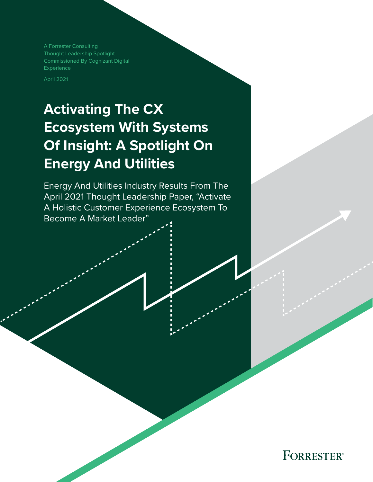A Forrester Consulting Thought Leadership Spotlight Commissioned By Cognizant Digital Experience

April 2021

# **Activating The CX Ecosystem With Systems Of Insight: A Spotlight On Energy And Utilities**

Energy And Utilities Industry Results From The April 2021 Thought Leadership Paper, "Activate A Holistic Customer Experience Ecosystem To Become A Market Leader"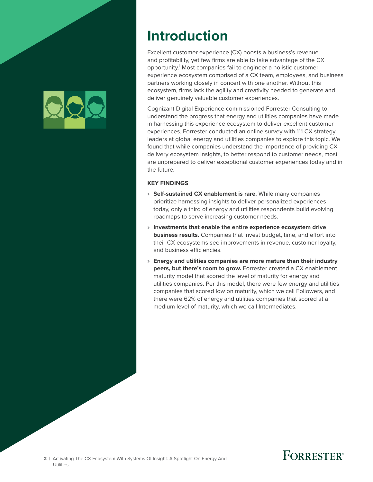

## **Introduction**

Excellent customer experience (CX) boosts a business's revenue and profitability, yet few firms are able to take advantage of the CX opportunity.<sup>1</sup> Most companies fail to engineer a holistic customer experience ecosystem comprised of a CX team, employees, and business partners working closely in concert with one another. Without this ecosystem, firms lack the agility and creativity needed to generate and deliver genuinely valuable customer experiences.

Cognizant Digital Experience commissioned Forrester Consulting to understand the progress that energy and utilities companies have made in harnessing this experience ecosystem to deliver excellent customer experiences. Forrester conducted an online survey with 111 CX strategy leaders at global energy and utilities companies to explore this topic. We found that while companies understand the importance of providing CX delivery ecosystem insights, to better respond to customer needs, most are unprepared to deliver exceptional customer experiences today and in the future.

### **KEY FINDINGS**

- › **Self-sustained CX enablement is rare.** While many companies prioritize harnessing insights to deliver personalized experiences today, only a third of energy and utilities respondents build evolving roadmaps to serve increasing customer needs.
- › **Investments that enable the entire experience ecosystem drive business results.** Companies that invest budget, time, and effort into their CX ecosystems see improvements in revenue, customer loyalty, and business efficiencies.
- › **Energy and utilities companies are more mature than their industry peers, but there's room to grow.** Forrester created a CX enablement maturity model that scored the level of maturity for energy and utilities companies. Per this model, there were few energy and utilities companies that scored low on maturity, which we call Followers, and there were 62% of energy and utilities companies that scored at a medium level of maturity, which we call Intermediates.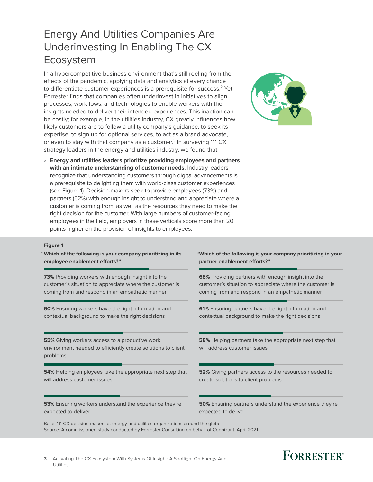## Energy And Utilities Companies Are Underinvesting In Enabling The CX Ecosystem

In a hypercompetitive business environment that's still reeling from the effects of the pandemic, applying data and analytics at every chance to differentiate customer experiences is a prerequisite for success. $^2$  Yet Forrester finds that companies often underinvest in initiatives to align processes, workflows, and technologies to enable workers with the insights needed to deliver their intended experiences. This inaction can be costly; for example, in the utilities industry, CX greatly influences how likely customers are to follow a utility company's guidance, to seek its expertise, to sign up for optional services, to act as a brand advocate, or even to stay with that company as a customer.<sup>3</sup> In surveying 111 CX strategy leaders in the energy and utilities industry, we found that:

› **Energy and utilities leaders prioritize providing employees and partners with an intimate understanding of customer needs.** Industry leaders recognize that understanding customers through digital advancements is a prerequisite to delighting them with world-class customer experiences (see Figure 1). Decision-makers seek to provide employees (73%) and partners (52%) with enough insight to understand and appreciate where a customer is coming from, as well as the resources they need to make the right decision for the customer. With large numbers of customer-facing employees in the field, employers in these verticals score more than 20 points higher on the provision of insights to employees.



## Full page **Figure 1**

**"Which of the following is your company prioritizing in its employee enablement efforts?"** 

**73%** Providing workers with enough insight into the customer's situation to appreciate where the customer is coming from and respond in an empathetic manner

**60%** Ensuring workers have the right information and contextual background to make the right decisions

**55%** Giving workers access to a productive work environment needed to efficiently create solutions to client problems

**54%** Helping employees take the appropriate next step that will address customer issues

**53%** Ensuring workers understand the experience they're expected to deliver

### **"Which of the following is your company prioritizing in your partner enablement efforts?"**

**68%** Providing partners with enough insight into the customer's situation to appreciate where the customer is coming from and respond in an empathetic manner

**61%** Ensuring partners have the right information and contextual background to make the right decisions

**58%** Helping partners take the appropriate next step that will address customer issues

**52%** Giving partners access to the resources needed to create solutions to client problems

**50%** Ensuring partners understand the experience they're expected to deliver

Base: 111 CX decision-makers at energy and utilities organizations around the globe Source: A commissioned study conducted by Forrester Consulting on behalf of Cognizant, April 2021

## **FORRESTER**<sup>®</sup>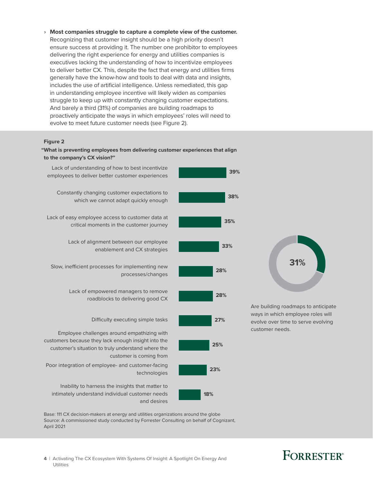› **Most companies struggle to capture a complete view of the customer.** Recognizing that customer insight should be a high priority doesn't ensure success at providing it. The number one prohibitor to employees delivering the right experience for energy and utilities companies is executives lacking the understanding of how to incentivize employees to deliver better CX. This, despite the fact that energy and utilities firms generally have the know-how and tools to deal with data and insights, includes the use of artificial intelligence. Unless remediated, this gap in understanding employee incentive will likely widen as companies struggle to keep up with constantly changing customer expectations. And barely a third (31%) of companies are building roadmaps to proactively anticipate the ways in which employees' roles will need to evolve to meet future customer needs (see Figure 2).

## Full page **Figure 2**

#### **"What is preventing employees from delivering customer experiences that align to the company's CX vision?"**



Base: 111 CX decision-makers at energy and utilities organizations around the globe Source: A commissioned study conducted by Forrester Consulting on behalf of Cognizant, April 2021

## **FORRESTER**<sup>®</sup>

**31%**

**4** | Activating The CX Ecosystem With Systems Of Insight: A Spotlight On Energy And Utilities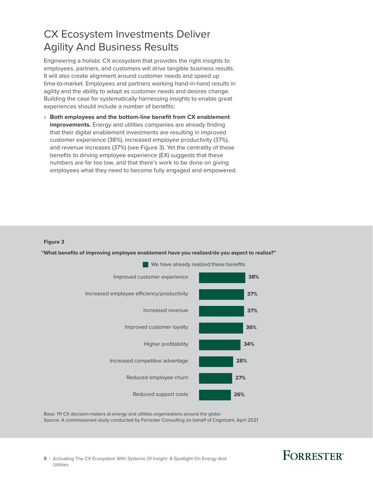## CX Ecosystem Investments Deliver Agility And Business Results

Engineering a holistic CX ecosystem that provides the right insights to employees, partners, and customers will drive tangible business results. It will also create alignment around customer needs and speed up time-to-market. Employees and partners working hand-in-hand results in agility and the ability to adapt as customer needs and desires change. Building the case for systematically harnessing insights to enable great experiences should include a number of benefits:

› **Both employees and the bottom-line benefit from CX enablement improvements.** Energy and utilities companies are already finding that their digital enablement investments are resulting in improved customer experience (38%), increased employee productivity (37%), and revenue increases (37%) (see Figure 3). Yet the centrality of these benefits to driving employee experience (EX) suggests that these numbers are far too low, and that there's work to be done on giving employees what they need to become fully engaged and empowered.

## Full page **Figure 3**

**"What benefits of improving employee enablement have you realized/do you expect to realize?"**



Base: 111 CX decision-makers at energy and utilities organizations around the globe Source: A commissioned study conducted by Forrester Consulting on behalf of Cognizant, April 2021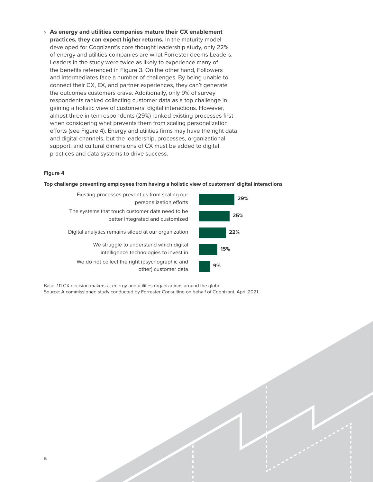› **As energy and utilities companies mature their CX enablement practices, they can expect higher returns.** In the maturity model developed for Cognizant's core thought leadership study, only 22% of energy and utilities companies are what Forrester deems Leaders. Leaders in the study were twice as likely to experience many of the benefits referenced in Figure 3. On the other hand, Followers and Intermediates face a number of challenges. By being unable to connect their CX, EX, and partner experiences, they can't generate the outcomes customers crave. Additionally, only 9% of survey respondents ranked collecting customer data as a top challenge in gaining a holistic view of customers' digital interactions. However, almost three in ten respondents (29%) ranked existing processes first when considering what prevents them from scaling personalization efforts (see Figure 4). Energy and utilities firms may have the right data and digital channels, but the leadership, processes, organizational support, and cultural dimensions of CX must be added to digital practices and data systems to drive success.

## Figure 4

#### **Top challenge preventing employees from having a holistic view of customers' digital interactions**

| Existing processes prevent us from scaling our<br>personalization efforts            |
|--------------------------------------------------------------------------------------|
| The systems that touch customer data need to be.<br>better integrated and customized |
| Digital analytics remains siloed at our organization                                 |
| We struggle to understand which digital<br>intelligence technologies to invest in    |
| We do not collect the right (psychographic and<br>other) customer data               |



Base: 111 CX decision-makers at energy and utilities organizations around the globe Source: A commissioned study conducted by Forrester Consulting on behalf of Cognizant, April 2021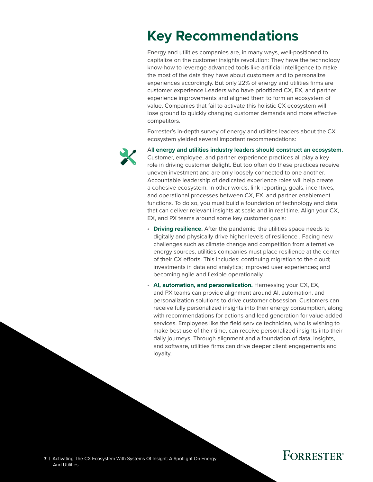## **Key Recommendations**

Energy and utilities companies are, in many ways, well-positioned to capitalize on the customer insights revolution: They have the technology know-how to leverage advanced tools like artificial intelligence to make the most of the data they have about customers and to personalize experiences accordingly. But only 22% of energy and utilities firms are customer experience Leaders who have prioritized CX, EX, and partner experience improvements and aligned them to form an ecosystem of value. Companies that fail to activate this holistic CX ecosystem will lose ground to quickly changing customer demands and more effective competitors.

Forrester's in-depth survey of energy and utilities leaders about the CX ecosystem yielded several important recommendations:



A**ll energy and utilities industry leaders should construct an ecosystem.** Customer, employee, and partner experience practices all play a key role in driving customer delight. But too often do these practices receive uneven investment and are only loosely connected to one another. Accountable leadership of dedicated experience roles will help create a cohesive ecosystem. In other words, link reporting, goals, incentives, and operational processes between CX, EX, and partner enablement functions. To do so, you must build a foundation of technology and data that can deliver relevant insights at scale and in real time. Align your CX, EX, and PX teams around some key customer goals:

- **Driving resilience.** After the pandemic, the utilities space needs to digitally and physically drive higher levels of resilience . Facing new challenges such as climate change and competition from alternative energy sources, utilities companies must place resilience at the center of their CX efforts. This includes: continuing migration to the cloud; investments in data and analytics; improved user experiences; and becoming agile and flexible operationally.
- **AI, automation, and personalization.** Harnessing your CX, EX, and PX teams can provide alignment around AI, automation, and personalization solutions to drive customer obsession. Customers can receive fully personalized insights into their energy consumption, along with recommendations for actions and lead generation for value-added services. Employees like the field service technician, who is wishing to make best use of their time, can receive personalized insights into their daily journeys. Through alignment and a foundation of data, insights, and software, utilities firms can drive deeper client engagements and loyalty.

**7** | Activating The CX Ecosystem With Systems Of Insight: A Spotlight On Energy And Utilities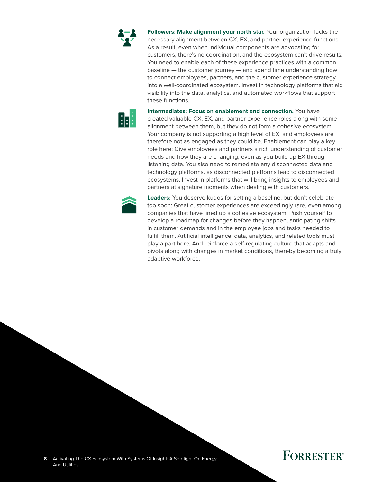

**Followers: Make alignment your north star.** Your organization lacks the necessary alignment between CX, EX, and partner experience functions. As a result, even when individual components are advocating for customers, there's no coordination, and the ecosystem can't drive results. You need to enable each of these experience practices with a common baseline — the customer journey — and spend time understanding how to connect employees, partners, and the customer experience strategy into a well-coordinated ecosystem. Invest in technology platforms that aid visibility into the data, analytics, and automated workflows that support these functions.



**Intermediates: Focus on enablement and connection.** You have created valuable CX, EX, and partner experience roles along with some alignment between them, but they do not form a cohesive ecosystem. Your company is not supporting a high level of EX, and employees are therefore not as engaged as they could be. Enablement can play a key role here: Give employees and partners a rich understanding of customer needs and how they are changing, even as you build up EX through listening data. You also need to remediate any disconnected data and technology platforms, as disconnected platforms lead to disconnected ecosystems. Invest in platforms that will bring insights to employees and partners at signature moments when dealing with customers.



**Leaders:** You deserve kudos for setting a baseline, but don't celebrate too soon: Great customer experiences are exceedingly rare, even among companies that have lined up a cohesive ecosystem. Push yourself to develop a roadmap for changes before they happen, anticipating shifts in customer demands and in the employee jobs and tasks needed to fulfill them. Artificial intelligence, data, analytics, and related tools must play a part here. And reinforce a self-regulating culture that adapts and pivots along with changes in market conditions, thereby becoming a truly adaptive workforce.

**8** | Activating The CX Ecosystem With Systems Of Insight: A Spotlight On Energy And Utilities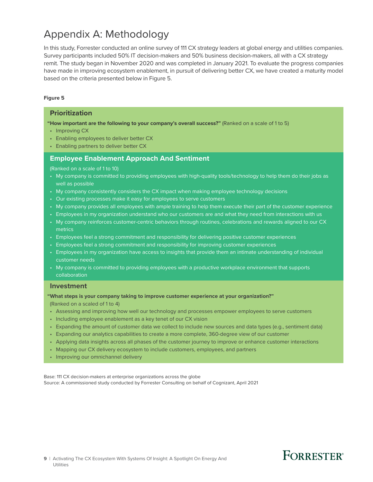## Appendix A: Methodology

In this study, Forrester conducted an online survey of 111 CX strategy leaders at global energy and utilities companies. Survey participants included 50% IT decision-makers and 50% business decision-makers, all with a CX strategy remit. The study began in November 2020 and was completed in January 2021. To evaluate the progress companies have made in improving ecosystem enablement, in pursuit of delivering better CX, we have created a maturity model based on the criteria presented below in Figure 5.

### **Figure 5**

### **Prioritization**

**"How important are the following to your company's overall success?"** (Ranked on a scale of 1 to 5)

- Improving CX
- Enabling employees to deliver better CX
- Enabling partners to deliver better CX

### **Employee Enablement Approach And Sentiment**

(Ranked on a scale of 1 to 10)

- My company is committed to providing employees with high-quality tools/technology to help them do their jobs as well as possible
- My company consistently considers the CX impact when making employee technology decisions
- Our existing processes make it easy for employees to serve customers
- My company provides all employees with ample training to help them execute their part of the customer experience
- Employees in my organization understand who our customers are and what they need from interactions with us
- My company reinforces customer-centric behaviors through routines, celebrations and rewards aligned to our CX metrics
- Employees feel a strong commitment and responsibility for delivering positive customer experiences
- Employees feel a strong commitment and responsibility for improving customer experiences
- Employees in my organization have access to insights that provide them an intimate understanding of individual customer needs
- My company is committed to providing employees with a productive workplace environment that supports collaboration

### **Investment**

**"What steps is your company taking to improve customer experience at your organization?"**

(Ranked on a scaled of 1 to 4)

- Assessing and improving how well our technology and processes empower employees to serve customers
- Including employee enablement as a key tenet of our CX vision
- Expanding the amount of customer data we collect to include new sources and data types (e.g., sentiment data)
- Expanding our analytics capabilities to create a more complete, 360-degree view of our customer
- Applying data insights across all phases of the customer journey to improve or enhance customer interactions

**FORRESTER**<sup>®</sup>

- Mapping our CX delivery ecosystem to include customers, employees, and partners
- Improving our omnichannel delivery

Base: 111 CX decision-makers at enterprise organizations across the globe Source: A commissioned study conducted by Forrester Consulting on behalf of Cognizant, April 2021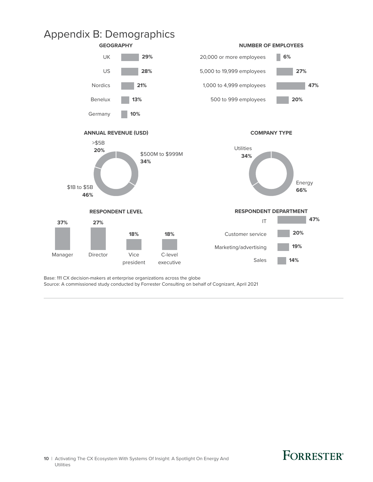







**COMPANY TYPE**





Base: 111 CX decision-makers at enterprise organizations across the globe

Source: A commissioned study conducted by Forrester Consulting on behalf of Cognizant, April 2021